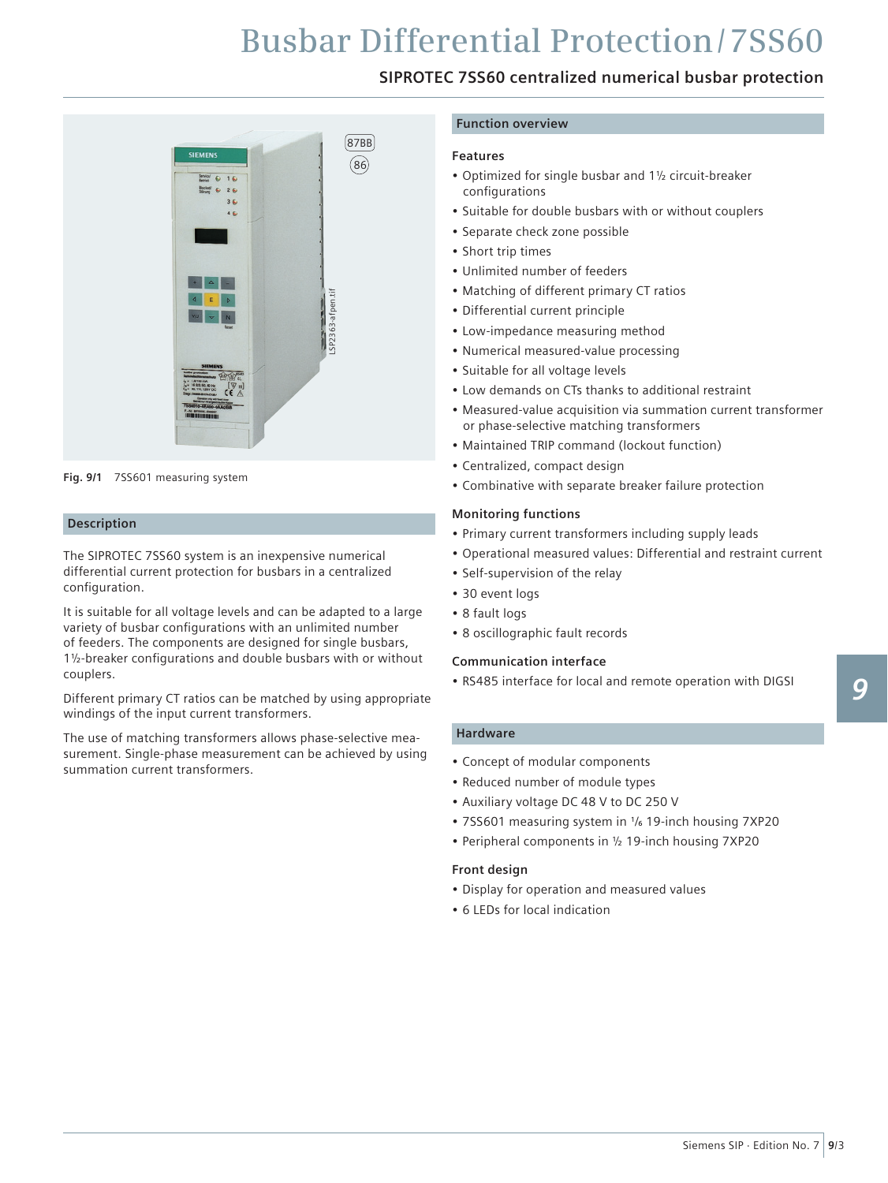### **SIPROTEC 7SS60 centralized numerical busbar protection**



**Fig. 9/1** 7SS601 measuring system

#### **Description**

The SIPROTEC 7SS60 system is an inexpensive numerical differential current protection for busbars in a centralized configuration.

It is suitable for all voltage levels and can be adapted to a large variety of busbar configurations with an unlimited number of feeders. The components are designed for single busbars,  $1\frac{1}{2}$ -breaker configurations and double busbars with or without couplers.

Different primary CT ratios can be matched by using appropriate windings of the input current transformers.

The use of matching transformers allows phase-selective measurement. Single-phase measurement can be achieved by using summation current transformers.

#### **Function overview**

#### **Features**

- • Optimized for single busbar and 1½ circuit-breaker configurations
- Suitable for double busbars with or without couplers
- Separate check zone possible
- Short trip times
- • Unlimited number of feeders
- • Matching of different primary CT ratios
- • Differential current principle
- Low-impedance measuring method
- • Numerical measured-value processing
- Suitable for all voltage levels
- Low demands on CTs thanks to additional restraint
- • Measured-value acquisition via summation current transformer or phase-selective matching transformers
- • Maintained TRIP command (lockout function)
- • Centralized, compact design
- • Combinative with separate breaker failure protection

#### **Monitoring functions**

- • Primary current transformers including supply leads
- • Operational measured values: Differential and restraint current
- Self-supervision of the relay
- 30 event logs
- • 8 fault logs
- 8 oscillographic fault records

#### **Communication interface**

• RS485 interface for local and remote operation with DIGSI

#### **Hardware**

- Concept of modular components
- • Reduced number of module types
- • Auxiliary voltage DC 48 V to DC 250 V
- 7SS601 measuring system in  $\frac{1}{6}$  19-inch housing 7XP20
- Peripheral components in 1/2 19-inch housing 7XP20

#### **Front design**

- • Display for operation and measured values
- 6 LEDs for local indication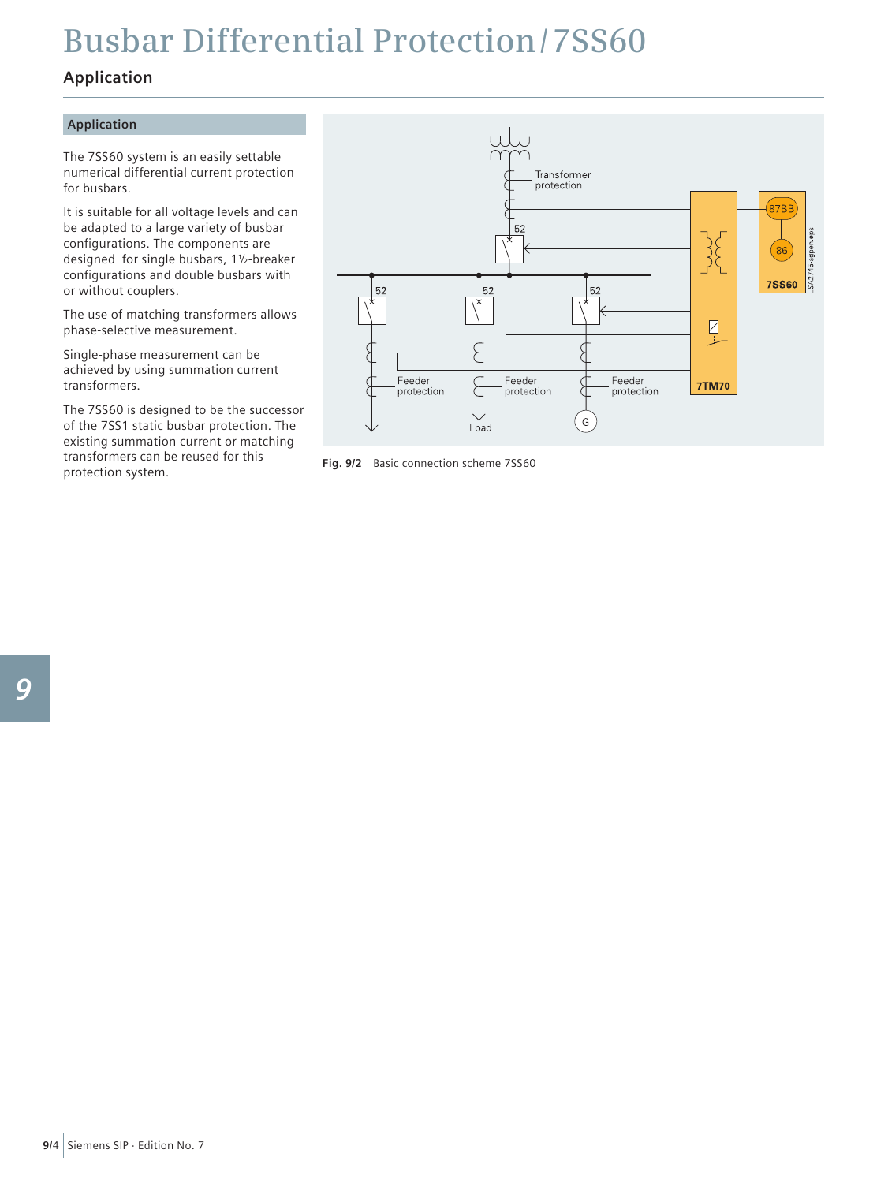### **Application**

#### **Application**

The 7SS60 system is an easily settable numerical differential current protection for busbars.

It is suitable for all voltage levels and can be adapted to a large variety of busbar configurations. The components are designed for single busbars, 1½-breaker configurations and double busbars with or without couplers.

The use of matching transformers allows phase-selective measurement.

Single-phase measurement can be achieved by using summation current transformers.

The 7SS60 is designed to be the successor of the 7SS1 static busbar protection. The existing summation current or matching transformers can be reused for this transformers can be reused for this<br> **Fig. 9/2** Basic connection scheme 7SS60<br>
protection system.

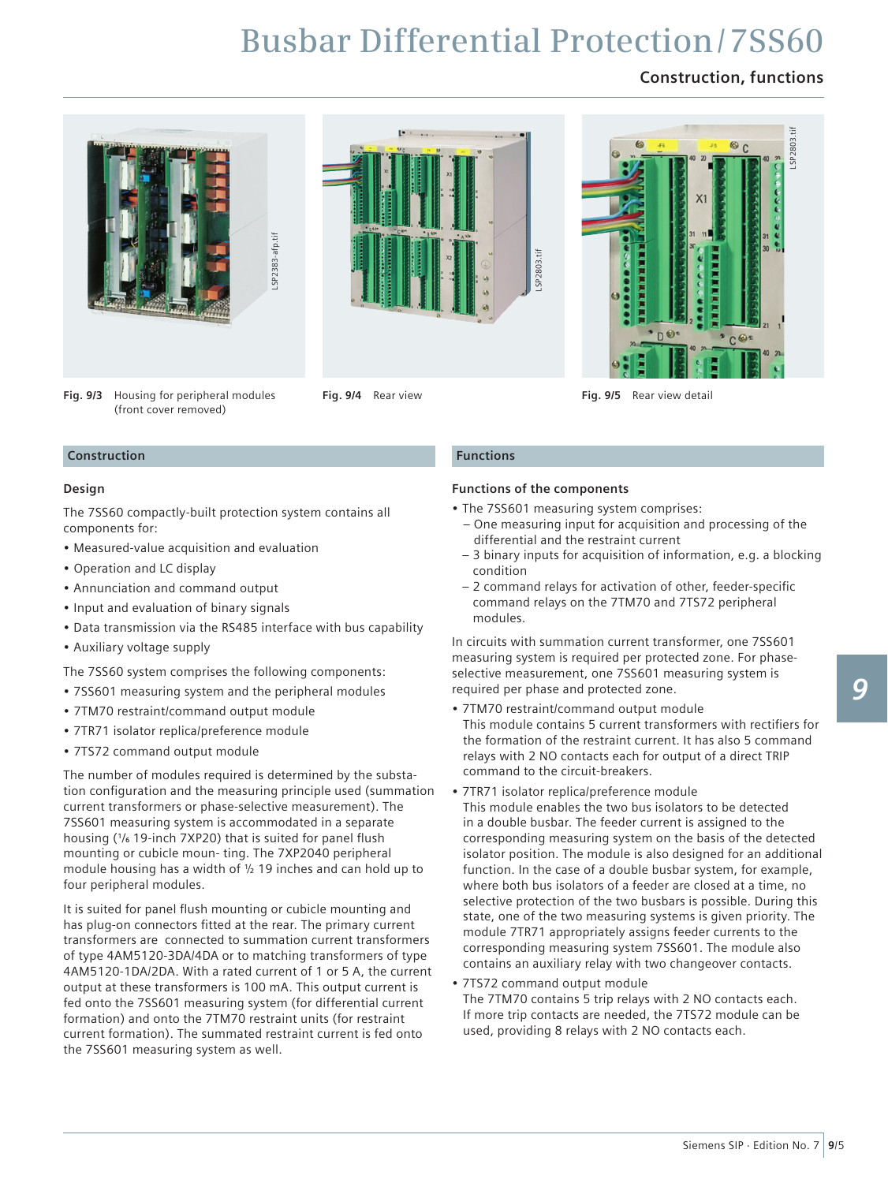### **Construction, functions**







**Fig. 9/4** Rear view **Fig. 9/5** Rear view detail

#### **Construction**

#### **Design**

The 7SS60 compactly-built protection system contains all components for:

- • Measured-value acquisition and evaluation
- • Operation and LC display
- • Annunciation and command output

(front cover removed)

- Input and evaluation of binary signals
- Data transmission via the RS485 interface with bus capability
- • Auxiliary voltage supply

The 7SS60 system comprises the following components:

- • 7SS601 measuring system and the peripheral modules
- • 7TM70 restraint/command output module
- 7TR71 isolator replica/preference module
- 7TS72 command output module

The number of modules required is determined by the substation configuration and the measuring principle used (summation current transformers or phase-selective measurement). The 7SS601 measuring system is accommodated in a separate housing (<sup>1</sup>/<sub>6</sub> 19-inch 7XP20) that is suited for panel flush mounting or cubicle moun- ting. The 7XP2040 peripheral module housing has a width of ½ 19 inches and can hold up to four peripheral modules.

It is suited for panel flush mounting or cubicle mounting and has plug-on connectors fitted at the rear. The primary current transformers are connected to summation current transformers of type 4AM5120-3DA/4DA or to matching transformers of type 4AM5120-1DA/2DA. With a rated current of 1 or 5 A, the current output at these transformers is 100 mA. This output current is fed onto the 7SS601 measuring system (for differential current formation) and onto the 7TM70 restraint units (for restraint current formation). The summated restraint current is fed onto

#### **Functions**

#### **Functions of the components**

- The 7SS601 measuring system comprises:
- One measuring input for acquisition and processing of the differential and the restraint current
- 3 binary inputs for acquisition of information, e.g. a blocking condition
- 2 command relays for activation of other, feeder-specific command relays on the 7TM70 and 7TS72 peripheral modules.

In circuits with summation current transformer, one 7SS601 measuring system is required per protected zone. For phaseselective measurement, one 7SS601 measuring system is required per phase and protected zone.

- 7TM70 restraint/command output module This module contains 5 current transformers with rectifiers for the formation of the restraint current. It has also 5 command relays with 2 NO contacts each for output of a direct TRIP command to the circuit-breakers.
- 7TR71 isolator replica/preference module This module enables the two bus isolators to be detected in a double busbar. The feeder current is assigned to the corresponding measuring system on the basis of the detected isolator position. The module is also designed for an additional function. In the case of a double busbar system, for example, where both bus isolators of a feeder are closed at a time, no selective protection of the two busbars is possible. During this state, one of the two measuring systems is given priority. The module 7TR71 appropriately assigns feeder currents to the corresponding measuring system 7SS601. The module also contains an auxiliary relay with two changeover contacts.
- 7TS72 command output module The 7TM70 contains 5 trip relays with 2 NO contacts each. If more trip contacts are needed, the 7TS72 module can be used, providing 8 relays with 2 NO contacts each.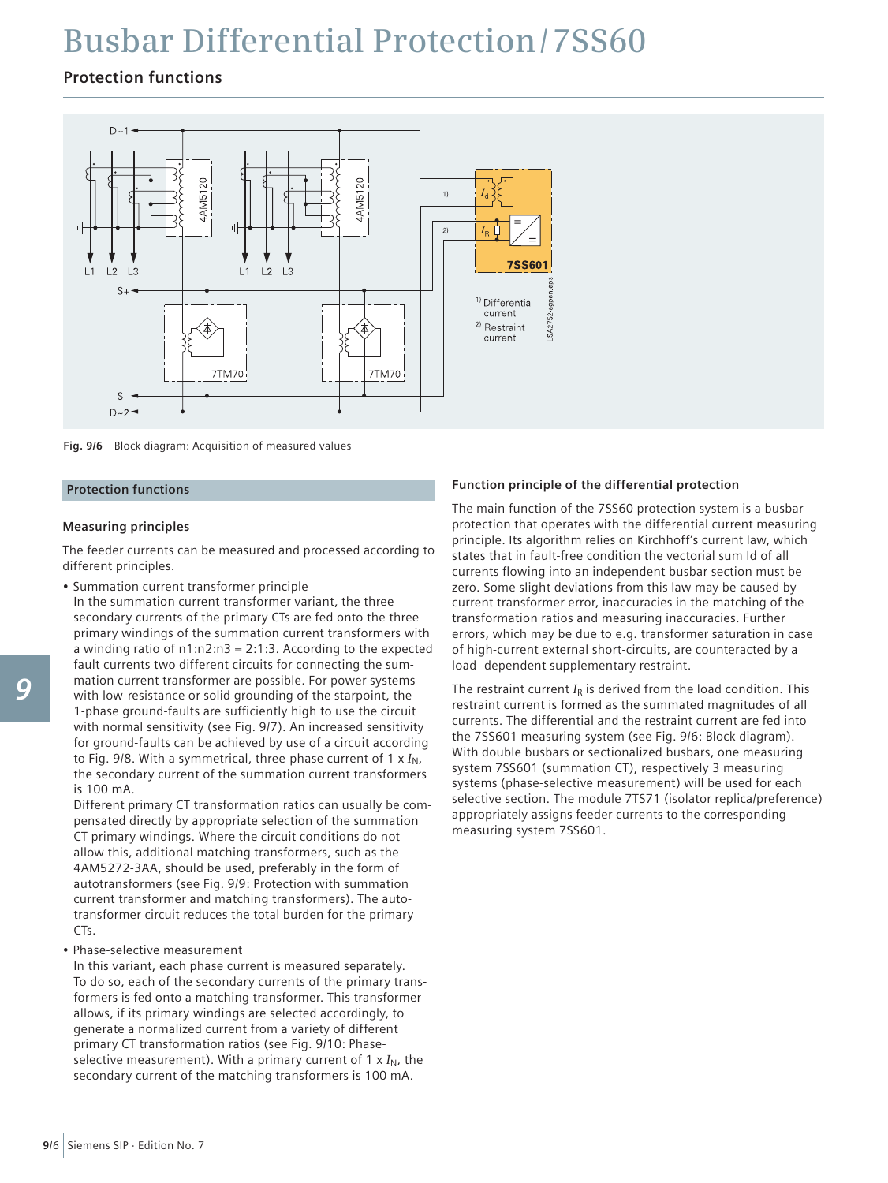### **Protection functions**



**Fig. 9/6** Block diagram: Acquisition of measured values

#### **Protection functions**

#### **Measuring principles**

The feeder currents can be measured and processed according to different principles.

• Summation current transformer principle

In the summation current transformer variant, the three secondary currents of the primary CTs are fed onto the three primary windings of the summation current transformers with a winding ratio of  $n1:n2:n3 = 2:1:3$ . According to the expected fault currents two different circuits for connecting the summation current transformer are possible. For power systems with low-resistance or solid grounding of the starpoint, the 1-phase ground-faults are sufficiently high to use the circuit with normal sensitivity (see Fig. 9/7). An increased sensitivity for ground-faults can be achieved by use of a circuit according to Fig. 9/8. With a symmetrical, three-phase current of  $1 \times I_N$ , the secondary current of the summation current transformers is 100 mA.

Different primary CT transformation ratios can usually be compensated directly by appropriate selection of the summation CT primary windings. Where the circuit conditions do not allow this, additional matching transformers, such as the 4AM5272-3AA, should be used, preferably in the form of autotransformers (see Fig. 9/9: Protection with summation current transformer and matching transformers). The autotransformer circuit reduces the total burden for the primary C<sub>Ts</sub>

#### • Phase-selective measurement

In this variant, each phase current is measured separately. To do so, each of the secondary currents of the primary transformers is fed onto a matching transformer. This transformer allows, if its primary windings are selected accordingly, to generate a normalized current from a variety of different primary CT transformation ratios (see Fig. 9/10: Phaseselective measurement). With a primary current of  $1 \times I_N$ , the secondary current of the matching transformers is 100 mA.

#### **Function principle of the differential protection**

The main function of the 7SS60 protection system is a busbar protection that operates with the differential current measuring principle. Its algorithm relies on Kirchhoff's current law, which states that in fault-free condition the vectorial sum Id of all currents flowing into an independent busbar section must be zero. Some slight deviations from this law may be caused by current transformer error, inaccuracies in the matching of the transformation ratios and measuring inaccuracies. Further errors, which may be due to e.g. transformer saturation in case of high-current external short-circuits, are counteracted by a load- dependent supplementary restraint.

The restraint current  $I_R$  is derived from the load condition. This restraint current is formed as the summated magnitudes of all currents. The differential and the restraint current are fed into the 7SS601 measuring system (see Fig. 9/6: Block diagram). With double busbars or sectionalized busbars, one measuring system 7SS601 (summation CT), respectively 3 measuring systems (phase-selective measurement) will be used for each selective section. The module 7TS71 (isolator replica/preference) appropriately assigns feeder currents to the corresponding measuring system 7SS601.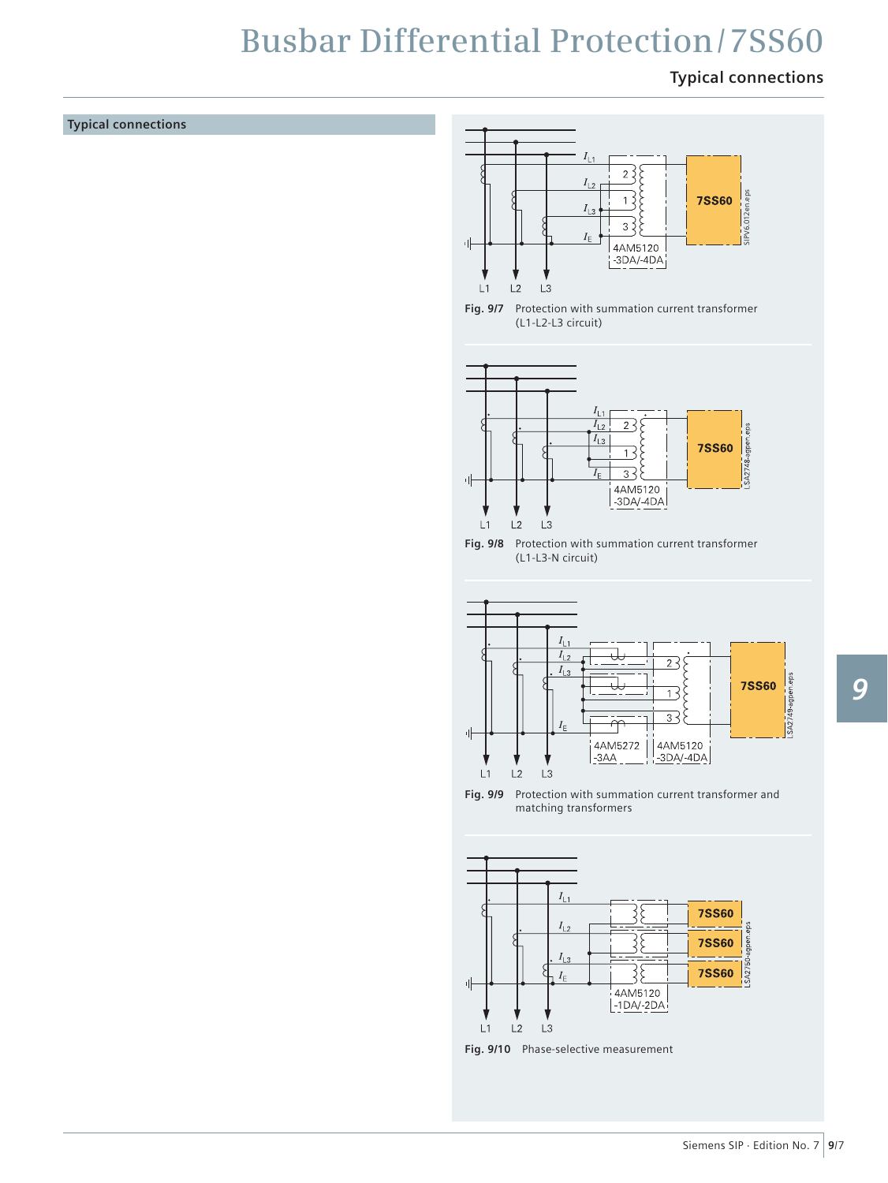### **Typical connections**

#### **Typical connections**







**Fig. 9/8** Protection with summation current transformer (L1-L3-N circuit)



**Fig. 9/9** Protection with summation current transformer and matching transformers



**Fig. 9/10** Phase-selective measurement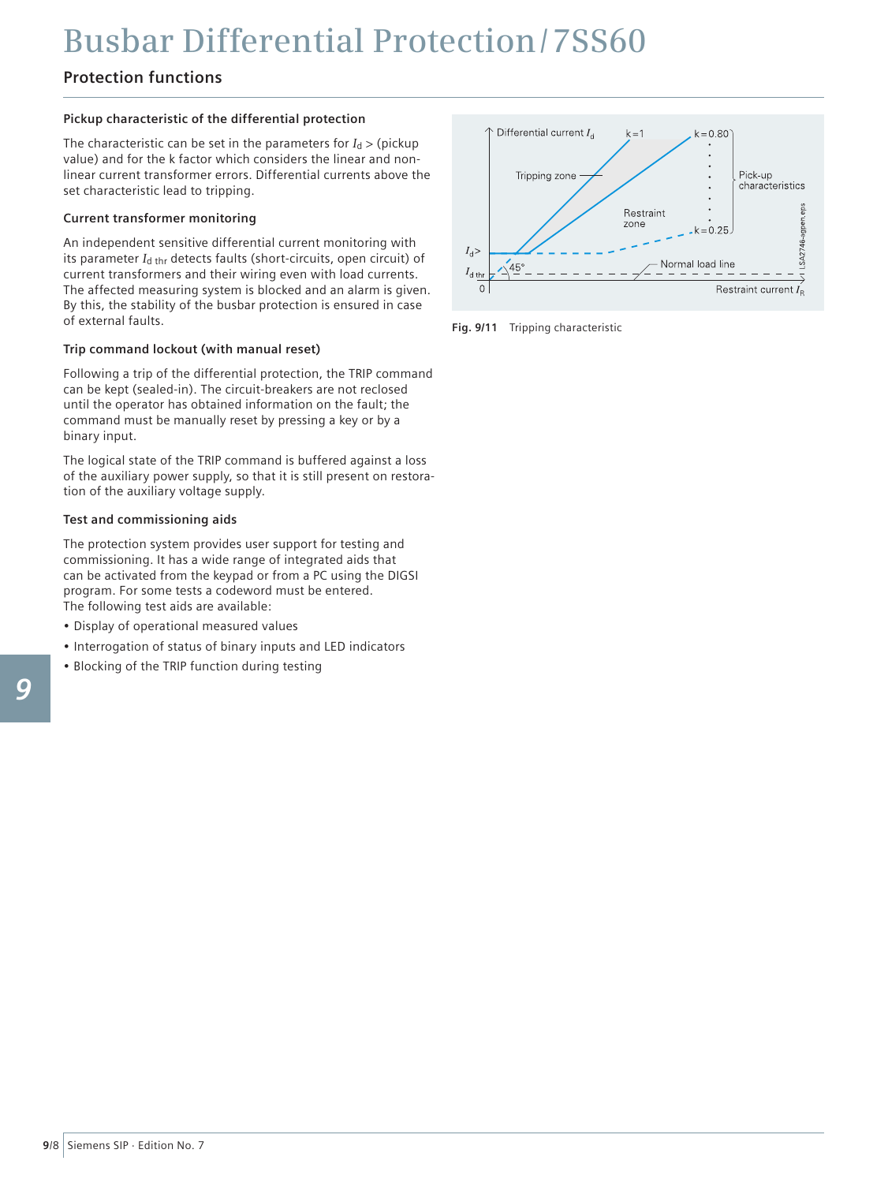### **Protection functions**

#### **Pickup characteristic of the differential protection**

The characteristic can be set in the parameters for  $I_d$  > (pickup) value) and for the k factor which considers the linear and nonlinear current transformer errors. Differential currents above the set characteristic lead to tripping.

#### **Current transformer monitoring**

An independent sensitive differential current monitoring with its parameter *I*d thr detects faults (short-circuits, open circuit) of current transformers and their wiring even with load currents. The affected measuring system is blocked and an alarm is given. By this, the stability of the busbar protection is ensured in case of external faults.

#### **Trip command lockout (with manual reset)**

Following a trip of the differential protection, the TRIP command can be kept (sealed-in). The circuit-breakers are not reclosed until the operator has obtained information on the fault; the command must be manually reset by pressing a key or by a binary input.

The logical state of the TRIP command is buffered against a loss of the auxiliary power supply, so that it is still present on restoration of the auxiliary voltage supply.

#### **Test and commissioning aids**

The protection system provides user support for testing and commissioning. It has a wide range of integrated aids that can be activated from the keypad or from a PC using the DIGSI program. For some tests a codeword must be entered. The following test aids are available:

- • Display of operational measured values
- Interrogation of status of binary inputs and LED indicators
- Blocking of the TRIP function during testing



**Fig. 9/11** Tripping characteristic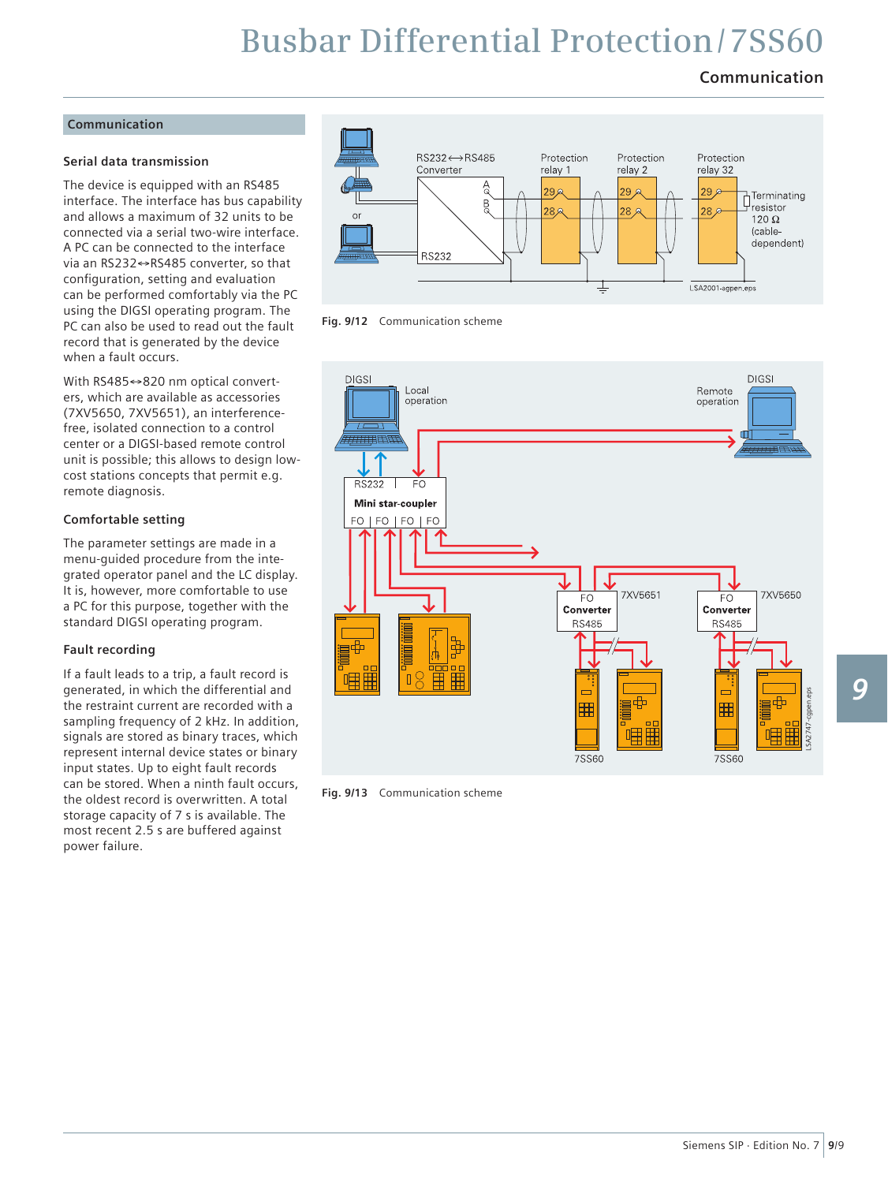### **Communication**

#### **Communication**

#### **Serial data transmission**

The device is equipped with an RS485 interface. The interface has bus capability and allows a maximum of 32 units to be connected via a serial two-wire interface. A PC can be connected to the interface via an RS232↔RS485 converter, so that configuration, setting and evaluation can be performed comfortably via the PC using the DIGSI operating program. The PC can also be used to read out the fault record that is generated by the device when a fault occurs.

With RS485↔820 nm optical converters, which are available as accessories (7XV5650, 7XV5651), an interferencefree, isolated connection to a control center or a DIGSI-based remote control unit is possible; this allows to design lowcost stations concepts that permit e.g. remote diagnosis.

#### **Comfortable setting**

The parameter settings are made in a menu-guided procedure from the integrated operator panel and the LC display. It is, however, more comfortable to use a PC for this purpose, together with the standard DIGSI operating program.

#### **Fault recording**

If a fault leads to a trip, a fault record is generated, in which the differential and the restraint current are recorded with a sampling frequency of 2 kHz. In addition, signals are stored as binary traces, which represent internal device states or binary input states. Up to eight fault records can be stored. When a ninth fault occurs, the oldest record is overwritten. A total storage capacity of 7 s is available. The most recent 2.5 s are buffered against power failure.



**Fig. 9/12** Communication scheme



**Fig. 9/13** Communication scheme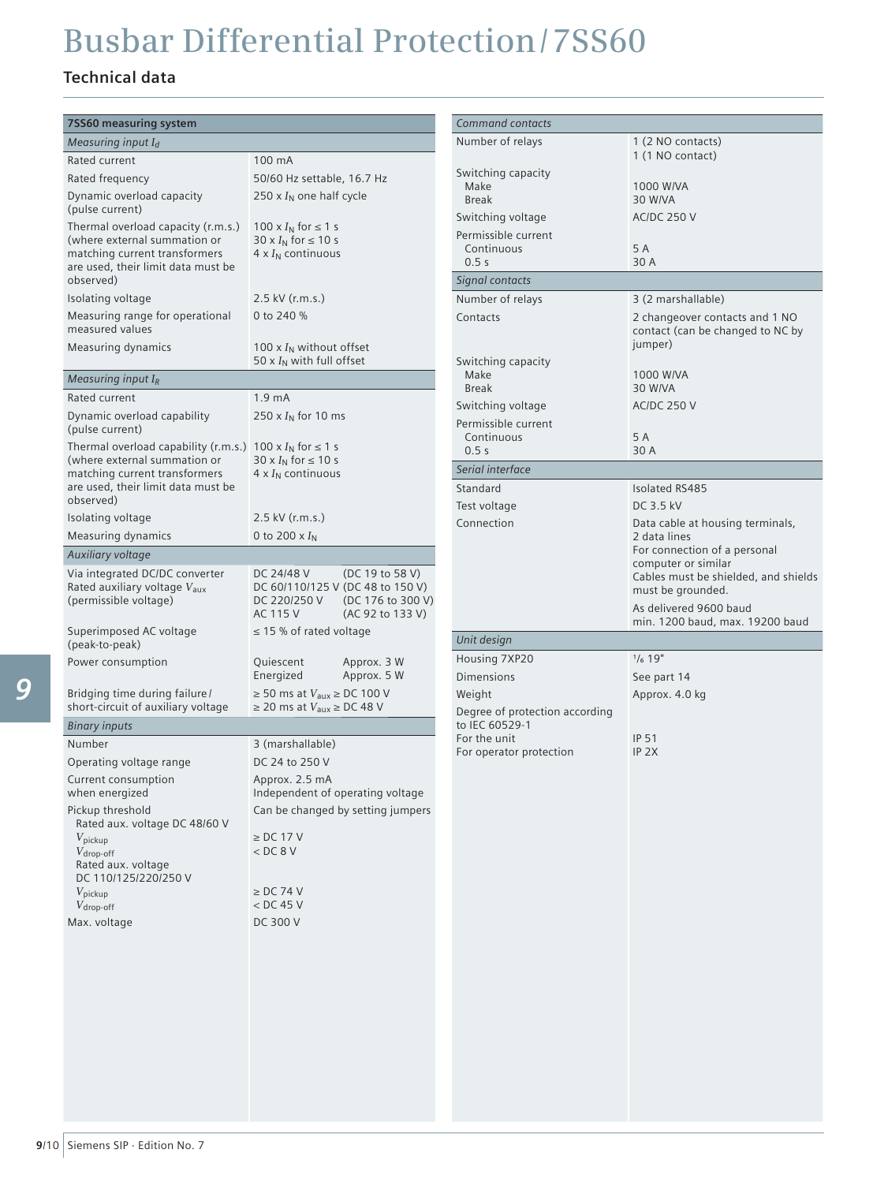### **Technical data**

| 7SS60 measuring system                                                                                                                                   |                                                                                                                                        |
|----------------------------------------------------------------------------------------------------------------------------------------------------------|----------------------------------------------------------------------------------------------------------------------------------------|
| Measuring input $I_d$                                                                                                                                    |                                                                                                                                        |
| Rated current                                                                                                                                            | 100 mA                                                                                                                                 |
| Rated frequency                                                                                                                                          | 50/60 Hz settable, 16.7 Hz                                                                                                             |
| Dynamic overload capacity<br>(pulse current)                                                                                                             | 250 x $I_N$ one half cycle                                                                                                             |
| Thermal overload capacity (r.m.s.)<br>(where external summation or<br>matching current transformers<br>are used, their limit data must be<br>observed)   | 100 x $I_N$ for $\leq 1$ s<br>30 x $I_N$ for $\leq 10$ s<br>$4 \times I_N$ continuous                                                  |
| Isolating voltage                                                                                                                                        | 2.5 kV (r.m.s.)                                                                                                                        |
| Measuring range for operational<br>measured values                                                                                                       | 0 to 240 %                                                                                                                             |
| Measuring dynamics                                                                                                                                       | 100 x $I_N$ without offset<br>50 x $I_N$ with full offset                                                                              |
| Measuring input $I_R$                                                                                                                                    |                                                                                                                                        |
| Rated current                                                                                                                                            | 1.9 <sub>mA</sub>                                                                                                                      |
| Dynamic overload capability<br>(pulse current)                                                                                                           | 250 x $I_N$ for 10 ms                                                                                                                  |
| Thermal overload capability (r.m.s.)<br>(where external summation or<br>matching current transformers<br>are used, their limit data must be<br>observed) | 100 x $I_N$ for $\leq 1$ s<br>30 x $I_N$ for $\leq 10$ s<br>$4 \times I_N$ continuous                                                  |
| Isolating voltage                                                                                                                                        | 2.5 kV (r.m.s.)                                                                                                                        |
| Measuring dynamics                                                                                                                                       | 0 to 200 $\times I_N$                                                                                                                  |
| Auxiliary voltage                                                                                                                                        |                                                                                                                                        |
| Via integrated DC/DC converter<br>Rated auxiliary voltage V <sub>aux</sub><br>(permissible voltage)                                                      | DC 24/48 V<br>(DC 19 to 58 V)<br>DC 60/110/125 V (DC 48 to 150 V)<br>DC 220/250 V<br>(DC 176 to 300 V)<br>AC 115 V<br>(AC 92 to 133 V) |
| Superimposed AC voltage<br>(peak-to-peak)                                                                                                                | $\leq$ 15 % of rated voltage                                                                                                           |
| Power consumption                                                                                                                                        | Quiescent<br>Approx. 3 W<br>Energized<br>Approx. 5 W                                                                                   |
| Bridging time during failure/<br>short-circuit of auxiliary voltage                                                                                      | $\geq$ 50 ms at $V_{\text{aux}} \geq$ DC 100 V<br>$\geq$ 20 ms at $V_{\text{aux}} \geq$ DC 48 V                                        |
| Binary inputs                                                                                                                                            |                                                                                                                                        |
| Number                                                                                                                                                   | 3 (marshallable)                                                                                                                       |
| Operating voltage range                                                                                                                                  | DC 24 to 250 V                                                                                                                         |
| Current consumption                                                                                                                                      | Approx. 2.5 mA                                                                                                                         |
| when energized                                                                                                                                           | Independent of operating voltage                                                                                                       |
| Pickup threshold<br>Rated aux. voltage DC 48/60 V<br>$V_{\rm pickup}$<br>$V_{\text{drop-off}}$<br>Rated aux. voltage<br>DC 110/125/220/250 V             | Can be changed by setting jumpers<br>$\ge$ DC 17 V<br>< DC 8 V                                                                         |
| $V_{\rm{pickup}}$                                                                                                                                        | $\geq$ DC 74 V                                                                                                                         |
| $V_{\text{drop-off}}$                                                                                                                                    | < DC 45 V                                                                                                                              |
| Max. voltage                                                                                                                                             | DC 300 V                                                                                                                               |
|                                                                                                                                                          |                                                                                                                                        |
|                                                                                                                                                          |                                                                                                                                        |

| <b>Command contacts</b>                    |                                                                               |
|--------------------------------------------|-------------------------------------------------------------------------------|
| Number of relays                           | 1 (2 NO contacts)<br>1 (1 NO contact)                                         |
| Switching capacity<br>Make<br><b>Break</b> | 1000 W/VA<br>30 W/VA                                                          |
| Switching voltage                          | <b>AC/DC 250 V</b>                                                            |
| Permissible current                        |                                                                               |
| Continuous                                 | 5 A                                                                           |
| 0.5s                                       | 30 A                                                                          |
| Signal contacts                            |                                                                               |
| Number of relays                           | 3 (2 marshallable)                                                            |
| Contacts                                   | 2 changeover contacts and 1 NO<br>contact (can be changed to NC by<br>jumper) |
| Switching capacity                         |                                                                               |
| Make<br><b>Break</b>                       | 1000 W/VA<br>30 W/VA                                                          |
| Switching voltage                          | <b>AC/DC 250 V</b>                                                            |
| Permissible current                        |                                                                               |
| Continuous                                 | 5 A                                                                           |
| 0.5s                                       | 30 A                                                                          |
| Serial interface                           |                                                                               |
| Standard                                   | <b>Isolated RS485</b>                                                         |
| Test voltage                               | DC 3.5 kV                                                                     |
| Connection                                 | Data cable at housing terminals,                                              |
|                                            | 2 data lines<br>For connection of a personal                                  |
|                                            | computer or similar                                                           |
|                                            | Cables must be shielded, and shields<br>must be grounded.                     |
|                                            | As delivered 9600 baud                                                        |
|                                            | min. 1200 baud, max. 19200 baud                                               |
| Unit design                                |                                                                               |
| Housing 7XP20                              | $1/6$ 19"                                                                     |
|                                            |                                                                               |
| <b>Dimensions</b>                          | See part 14                                                                   |
| Weight                                     | Approx. 4.0 kg                                                                |
| Degree of protection according             |                                                                               |
| to IEC 60529-1                             |                                                                               |
| For the unit<br>For operator protection    | <b>IP 51</b><br>$IP$ $2X$                                                     |
|                                            |                                                                               |
|                                            |                                                                               |
|                                            |                                                                               |
|                                            |                                                                               |
|                                            |                                                                               |
|                                            |                                                                               |
|                                            |                                                                               |
|                                            |                                                                               |
|                                            |                                                                               |
|                                            |                                                                               |
|                                            |                                                                               |
|                                            |                                                                               |
|                                            |                                                                               |
|                                            |                                                                               |
|                                            |                                                                               |
|                                            |                                                                               |
|                                            |                                                                               |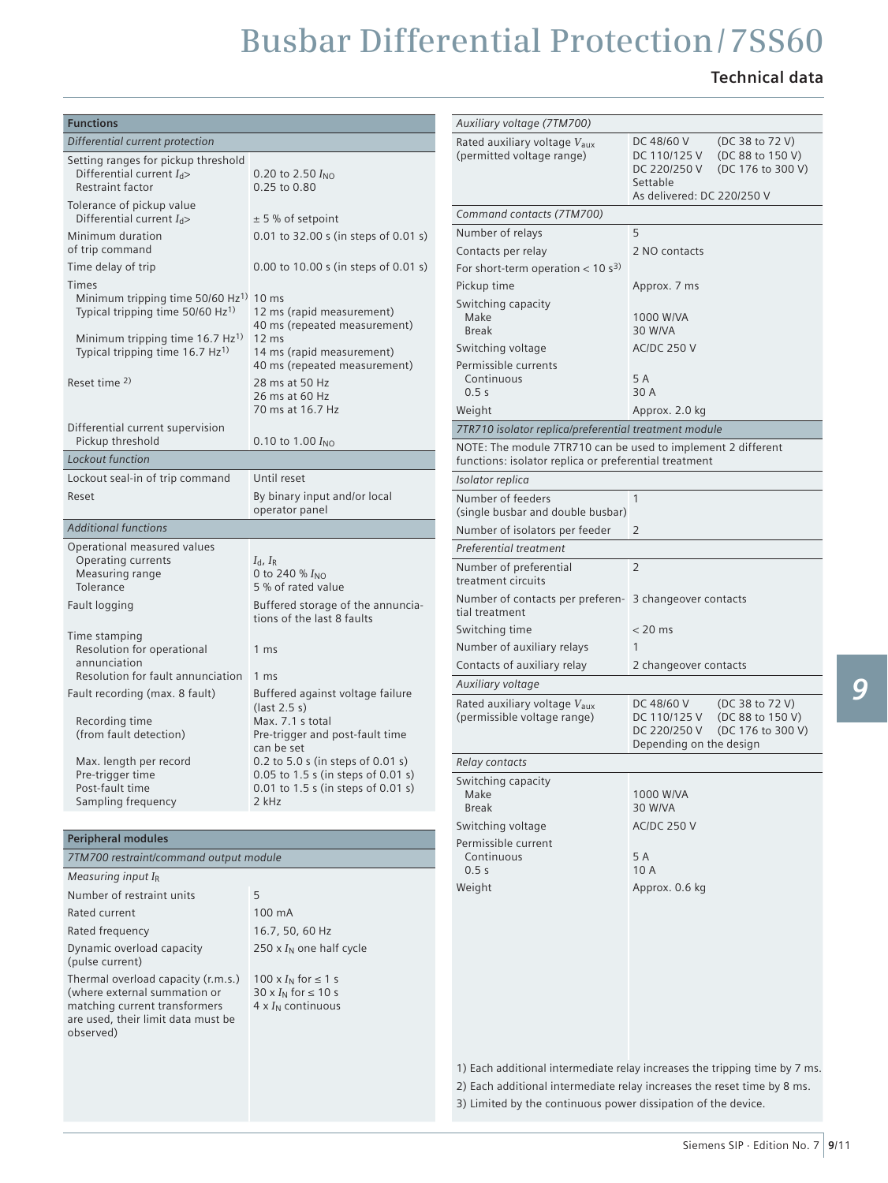### **Technical data**

| <b>Functions</b>                                                                                                                                       |                                                                                                                        | Auxiliary voltage (7TM700)                                                |                                                                                                                                   |  |  |
|--------------------------------------------------------------------------------------------------------------------------------------------------------|------------------------------------------------------------------------------------------------------------------------|---------------------------------------------------------------------------|-----------------------------------------------------------------------------------------------------------------------------------|--|--|
| Differential current protection                                                                                                                        |                                                                                                                        | Rated auxiliary voltage V <sub>aux</sub><br>DC 48/60 V<br>(DC 38 to 72 V) |                                                                                                                                   |  |  |
| Setting ranges for pickup threshold<br>Differential current $I_{d}$ ><br>Restraint factor                                                              | 0.20 to 2.50 $I_{NO}$<br>0.25 to 0.80                                                                                  | (permitted voltage range)                                                 | (DC 88 to 150 V)<br>DC 110/125 V<br>DC 220/250 V<br>(DC 176 to 300 V)<br>Settable                                                 |  |  |
| Tolerance of pickup value<br>Differential current $I_{d}$ >                                                                                            |                                                                                                                        | Command contacts (7TM700)                                                 | As delivered: DC 220/250 V                                                                                                        |  |  |
| Minimum duration                                                                                                                                       | $± 5$ % of setpoint                                                                                                    | Number of relays                                                          | 5                                                                                                                                 |  |  |
| of trip command                                                                                                                                        | 0.01 to 32.00 s (in steps of 0.01 s)                                                                                   | Contacts per relay                                                        | 2 NO contacts                                                                                                                     |  |  |
| Time delay of trip                                                                                                                                     | 0.00 to 10.00 s (in steps of 0.01 s)                                                                                   | For short-term operation $< 10 s3$                                        |                                                                                                                                   |  |  |
| <b>Times</b>                                                                                                                                           |                                                                                                                        | Pickup time                                                               | Approx. 7 ms                                                                                                                      |  |  |
| Minimum tripping time $50/60$ Hz <sup>1)</sup> 10 ms<br>Typical tripping time 50/60 Hz <sup>1)</sup>                                                   | 12 ms (rapid measurement)<br>40 ms (repeated measurement)                                                              | Switching capacity<br>Make<br><b>Break</b>                                | 1000 W/VA<br>30 W/VA                                                                                                              |  |  |
| Minimum tripping time 16.7 $Hz^{1}$<br>Typical tripping time 16.7 Hz <sup>1)</sup>                                                                     | 12 ms<br>14 ms (rapid measurement)<br>40 ms (repeated measurement)                                                     | Switching voltage<br>Permissible currents                                 | <b>AC/DC 250 V</b>                                                                                                                |  |  |
| Reset time <sup>2)</sup>                                                                                                                               | 28 ms at 50 Hz                                                                                                         | Continuous                                                                | 5 A                                                                                                                               |  |  |
|                                                                                                                                                        | 26 ms at 60 Hz                                                                                                         | 0.5s                                                                      | 30 A                                                                                                                              |  |  |
|                                                                                                                                                        | 70 ms at 16.7 Hz                                                                                                       | Weight                                                                    | Approx. 2.0 kg                                                                                                                    |  |  |
| Differential current supervision                                                                                                                       |                                                                                                                        | 7TR710 isolator replica/preferential treatment module                     |                                                                                                                                   |  |  |
| Pickup threshold                                                                                                                                       | 0.10 to 1.00 $I_{NO}$                                                                                                  | NOTE: The module 7TR710 can be used to implement 2 different              |                                                                                                                                   |  |  |
| Lockout function                                                                                                                                       |                                                                                                                        | functions: isolator replica or preferential treatment                     |                                                                                                                                   |  |  |
| Lockout seal-in of trip command                                                                                                                        | Until reset                                                                                                            | Isolator replica                                                          |                                                                                                                                   |  |  |
| Reset                                                                                                                                                  | By binary input and/or local<br>operator panel                                                                         | Number of feeders<br>(single busbar and double busbar)                    | $\mathbf{1}$                                                                                                                      |  |  |
| <b>Additional functions</b>                                                                                                                            |                                                                                                                        | Number of isolators per feeder                                            | 2                                                                                                                                 |  |  |
| Operational measured values                                                                                                                            |                                                                                                                        | Preferential treatment                                                    |                                                                                                                                   |  |  |
| Operating currents<br>Measuring range<br>Tolerance                                                                                                     | $I_{\rm d}$ , $I_{\rm R}$<br>0 to 240 % $I_{NO}$<br>5 % of rated value                                                 | Number of preferential<br>treatment circuits                              | $\overline{2}$                                                                                                                    |  |  |
| Fault logging                                                                                                                                          | Buffered storage of the annuncia-<br>tions of the last 8 faults                                                        | Number of contacts per preferen- 3 changeover contacts<br>tial treatment  |                                                                                                                                   |  |  |
| Time stamping                                                                                                                                          |                                                                                                                        | Switching time                                                            | $< 20$ ms                                                                                                                         |  |  |
| Resolution for operational                                                                                                                             | 1 <sub>ms</sub>                                                                                                        | Number of auxiliary relays                                                | $\mathbf{1}$                                                                                                                      |  |  |
| annunciation                                                                                                                                           |                                                                                                                        | Contacts of auxiliary relay                                               | 2 changeover contacts                                                                                                             |  |  |
| Resolution for fault annunciation                                                                                                                      | 1 ms                                                                                                                   | Auxiliary voltage                                                         |                                                                                                                                   |  |  |
| Fault recording (max. 8 fault)<br>Recording time<br>(from fault detection)                                                                             | Buffered against voltage failure<br>$last 2.5 s)$<br>Max. 7.1 s total<br>Pre-trigger and post-fault time<br>can be set | Rated auxiliary voltage V <sub>aux</sub><br>(permissible voltage range)   | (DC 38 to 72 V)<br>DC 48/60 V<br>DC 110/125 V<br>(DC 88 to 150 V)<br>DC 220/250 V<br>(DC 176 to 300 V)<br>Depending on the design |  |  |
| Max. length per record                                                                                                                                 | 0.2 to 5.0 s (in steps of 0.01 s)                                                                                      | Relay contacts                                                            |                                                                                                                                   |  |  |
| Pre-trigger time                                                                                                                                       | $0.05$ to 1.5 s (in steps of 0.01 s)                                                                                   | Switching capacity                                                        |                                                                                                                                   |  |  |
| Post-fault time<br>Sampling frequency                                                                                                                  | 0.01 to 1.5 s (in steps of 0.01 s)<br>2 kHz                                                                            | Make                                                                      | 1000 W/VA                                                                                                                         |  |  |
|                                                                                                                                                        |                                                                                                                        | <b>Break</b>                                                              | 30 W/VA                                                                                                                           |  |  |
| <b>Peripheral modules</b>                                                                                                                              |                                                                                                                        | Switching voltage<br>Permissible current                                  | <b>AC/DC 250 V</b>                                                                                                                |  |  |
| 7TM700 restraint/command output module                                                                                                                 |                                                                                                                        | Continuous                                                                | 5 A                                                                                                                               |  |  |
| Measuring input $I_R$                                                                                                                                  |                                                                                                                        | 0.5s                                                                      | 10 A                                                                                                                              |  |  |
| Number of restraint units                                                                                                                              | 5                                                                                                                      | Weight                                                                    | Approx. 0.6 kg                                                                                                                    |  |  |
| Rated current                                                                                                                                          | 100 mA                                                                                                                 |                                                                           |                                                                                                                                   |  |  |
| Rated frequency                                                                                                                                        | 16.7, 50, 60 Hz                                                                                                        |                                                                           |                                                                                                                                   |  |  |
| Dynamic overload capacity<br>(pulse current)                                                                                                           | 250 x $I_N$ one half cycle                                                                                             |                                                                           |                                                                                                                                   |  |  |
| Thermal overload capacity (r.m.s.)<br>(where external summation or<br>matching current transformers<br>are used, their limit data must be<br>observed) | 100 x $I_N$ for $\leq 1$ s<br>$30 \times I_N$ for $\leq 10$ s<br>$4 \times I_N$ continuous                             |                                                                           |                                                                                                                                   |  |  |
|                                                                                                                                                        |                                                                                                                        |                                                                           | 1) Each additional intermediate relay increases the tripping time by 7 ms.                                                        |  |  |

2) Each additional intermediate relay increases the reset time by 8 ms. 3) Limited by the continuous power dissipation of the device.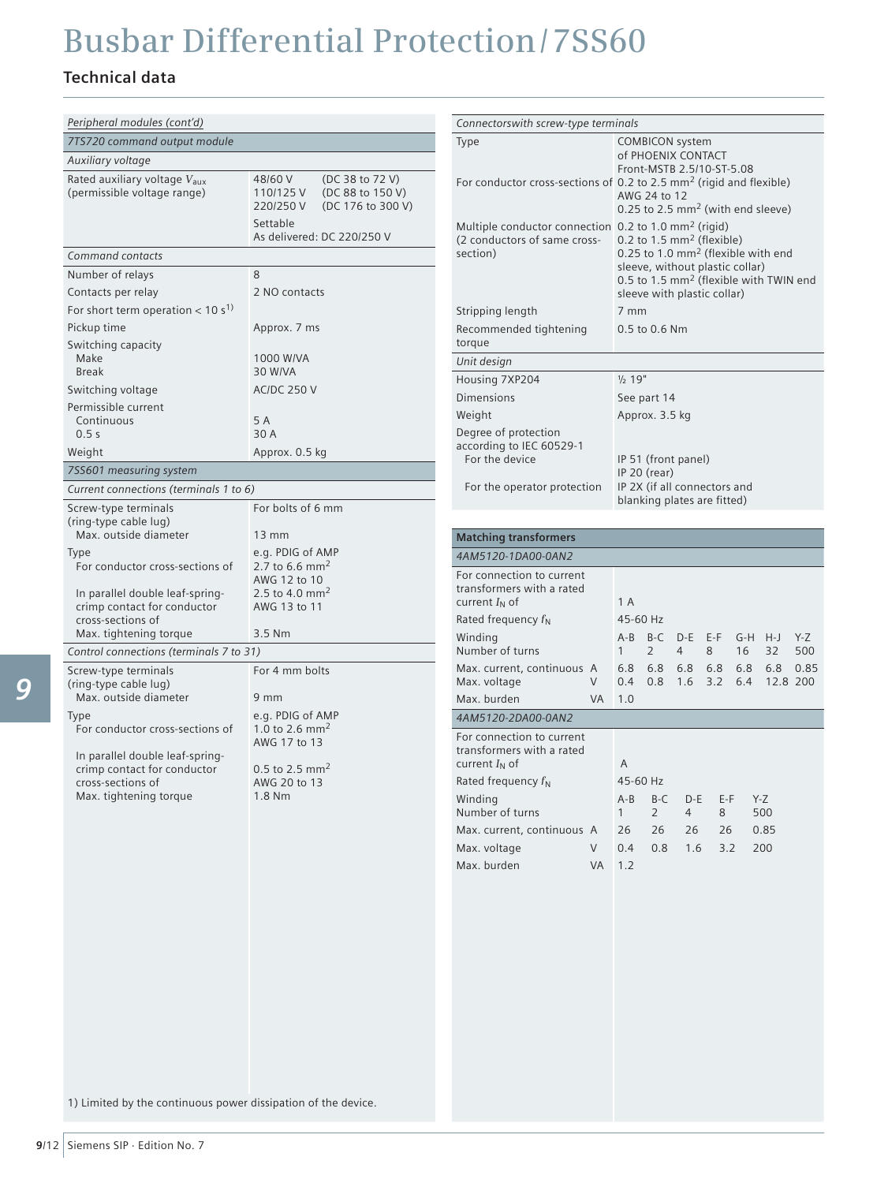### **Technical data**

| Peripheral modules (cont'd)                                                                                                                              |                                                                                                                        |
|----------------------------------------------------------------------------------------------------------------------------------------------------------|------------------------------------------------------------------------------------------------------------------------|
| 7TS720 command output module                                                                                                                             |                                                                                                                        |
| Auxiliary voltage                                                                                                                                        |                                                                                                                        |
| Rated auxiliary voltage V <sub>aux</sub><br>(permissible voltage range)                                                                                  | 48/60 V<br>(DC 38 to 72 V)<br>110/125 V<br>(DC 88 to 150 V)<br>220/250 V<br>(DC 176 to 300 V)                          |
|                                                                                                                                                          | Settable<br>As delivered: DC 220/250 V                                                                                 |
| Command contacts                                                                                                                                         |                                                                                                                        |
| Number of relays                                                                                                                                         | 8                                                                                                                      |
| Contacts per relay                                                                                                                                       | 2 NO contacts                                                                                                          |
| For short term operation $< 10 s1$                                                                                                                       |                                                                                                                        |
| Pickup time                                                                                                                                              | Approx. 7 ms                                                                                                           |
| Switching capacity<br>Make<br><b>Break</b>                                                                                                               | 1000 W/VA<br>30 W/VA                                                                                                   |
| Switching voltage                                                                                                                                        | <b>AC/DC 250 V</b>                                                                                                     |
| Permissible current<br>Continuous<br>0.5s                                                                                                                | 5 A<br>30 A                                                                                                            |
| Weight                                                                                                                                                   | Approx. 0.5 kg                                                                                                         |
| 7SS601 measuring system                                                                                                                                  |                                                                                                                        |
| Current connections (terminals 1 to 6)                                                                                                                   |                                                                                                                        |
| Screw-type terminals<br>(ring-type cable lug)<br>Max. outside diameter                                                                                   | For bolts of 6 mm<br>13 mm                                                                                             |
| Type<br>For conductor cross-sections of<br>In parallel double leaf-spring-<br>crimp contact for conductor<br>cross-sections of<br>Max. tightening torque | e.g. PDIG of AMP<br>2.7 to 6.6 mm <sup>2</sup><br>AWG 12 to 10<br>2.5 to 4.0 mm <sup>2</sup><br>AWG 13 to 11<br>3.5 Nm |
| Control connections (terminals 7 to 31)                                                                                                                  |                                                                                                                        |
| Screw-type terminals<br>(ring-type cable lug)                                                                                                            | For 4 mm bolts                                                                                                         |
| Max. outside diameter<br>Type<br>For conductor cross-sections of<br>In parallel double leaf-spring-<br>crimp contact for conductor<br>cross-sections of  | 9 mm<br>e.g. PDIG of AMP<br>1.0 to 2.6 mm <sup>2</sup><br>AWG 17 to 13<br>0.5 to 2.5 mm <sup>2</sup><br>AWG 20 to 13   |
| Max. tightening torque                                                                                                                                   | 1.8 Nm                                                                                                                 |

| Connectorswith screw-type terminals                                                                          |    |                                                                                                                                                                                                                 |                                                                           |                           |            |                          |                 |              |
|--------------------------------------------------------------------------------------------------------------|----|-----------------------------------------------------------------------------------------------------------------------------------------------------------------------------------------------------------------|---------------------------------------------------------------------------|---------------------------|------------|--------------------------|-----------------|--------------|
| Type                                                                                                         |    |                                                                                                                                                                                                                 | <b>COMBICON</b> system<br>of PHOENIX CONTACT<br>Front-MSTB 2.5/10-ST-5.08 |                           |            |                          |                 |              |
|                                                                                                              |    | For conductor cross-sections of 0.2 to 2.5 mm <sup>2</sup> (rigid and flexible)<br>AWG 24 to 12<br>0.25 to 2.5 mm <sup>2</sup> (with end sleeve)                                                                |                                                                           |                           |            |                          |                 |              |
| Multiple conductor connection 0.2 to 1.0 mm <sup>2</sup> (rigid)<br>(2 conductors of same cross-<br>section) |    | 0.2 to 1.5 mm <sup>2</sup> (flexible)<br>0.25 to 1.0 mm <sup>2</sup> (flexible with end<br>sleeve, without plastic collar)<br>0.5 to 1.5 mm <sup>2</sup> (flexible with TWIN end<br>sleeve with plastic collar) |                                                                           |                           |            |                          |                 |              |
| Stripping length                                                                                             |    | 7 mm                                                                                                                                                                                                            |                                                                           |                           |            |                          |                 |              |
| Recommended tightening<br>torque                                                                             |    |                                                                                                                                                                                                                 | 0.5 to 0.6 Nm                                                             |                           |            |                          |                 |              |
| Unit design                                                                                                  |    |                                                                                                                                                                                                                 |                                                                           |                           |            |                          |                 |              |
| Housing 7XP204                                                                                               |    | $\frac{1}{2}$ 19"                                                                                                                                                                                               |                                                                           |                           |            |                          |                 |              |
| Dimensions                                                                                                   |    |                                                                                                                                                                                                                 | See part 14                                                               |                           |            |                          |                 |              |
| Weight                                                                                                       |    |                                                                                                                                                                                                                 | Approx. 3.5 kg                                                            |                           |            |                          |                 |              |
| Degree of protection<br>according to IEC 60529-1<br>For the device<br>For the operator protection            |    | IP 51 (front panel)<br>IP 20 (rear)<br>IP 2X (if all connectors and<br>blanking plates are fitted)                                                                                                              |                                                                           |                           |            |                          |                 |              |
|                                                                                                              |    |                                                                                                                                                                                                                 |                                                                           |                           |            |                          |                 |              |
| <b>Matching transformers</b>                                                                                 |    |                                                                                                                                                                                                                 |                                                                           |                           |            |                          |                 |              |
| 4AM5120-1DA00-0AN2                                                                                           |    |                                                                                                                                                                                                                 |                                                                           |                           |            |                          |                 |              |
| For connection to current<br>transformers with a rated<br>current $I_N$ of                                   |    | 1 A                                                                                                                                                                                                             |                                                                           |                           |            |                          |                 |              |
| Rated frequency $f_N$                                                                                        |    | 45-60 Hz                                                                                                                                                                                                        |                                                                           |                           |            |                          |                 |              |
| Winding<br>Number of turns                                                                                   |    | $A - B$<br>1                                                                                                                                                                                                    | $B-C$<br>$\overline{2}$                                                   | $D - E$<br>4              | E-F<br>8   | $G-H$<br>16 <sup>1</sup> | H-J<br>32       | $Y-Z$<br>500 |
| Max. current, continuous A<br>Max. voltage                                                                   | V  | 6.8<br>$0.4^{\circ}$                                                                                                                                                                                            | 6.8<br>0.8                                                                | 6.8<br>1.6                | 6.8<br>3.2 | 6.8<br>6.4               | 6.8<br>12.8 200 | 0.85         |
| Max. burden                                                                                                  | VA | 1.0                                                                                                                                                                                                             |                                                                           |                           |            |                          |                 |              |
| 4AM5120-2DA00-0AN2                                                                                           |    |                                                                                                                                                                                                                 |                                                                           |                           |            |                          |                 |              |
| For connection to current<br>transformers with a rated<br>current $I_N$ of                                   |    | A                                                                                                                                                                                                               |                                                                           |                           |            |                          |                 |              |
| Rated frequency f <sub>N</sub>                                                                               |    |                                                                                                                                                                                                                 | 45-60 Hz                                                                  |                           |            |                          |                 |              |
| Winding<br>Number of turns                                                                                   |    | $A-B$<br>1                                                                                                                                                                                                      | $B-C$<br>$\overline{2}$                                                   | $D - E$<br>$\overline{4}$ | E-F<br>8   |                          | $Y-Z$<br>500    |              |
| Max. current, continuous A                                                                                   |    | 26                                                                                                                                                                                                              | 26                                                                        | 26                        | 26         |                          | 0.85            |              |
| Max. voltage                                                                                                 | V  | 0.4                                                                                                                                                                                                             | 0.8                                                                       | 1.6                       | 3.2        |                          | 200             |              |

VA 1.2

Max. burden

1) Limited by the continuous power dissipation of the device.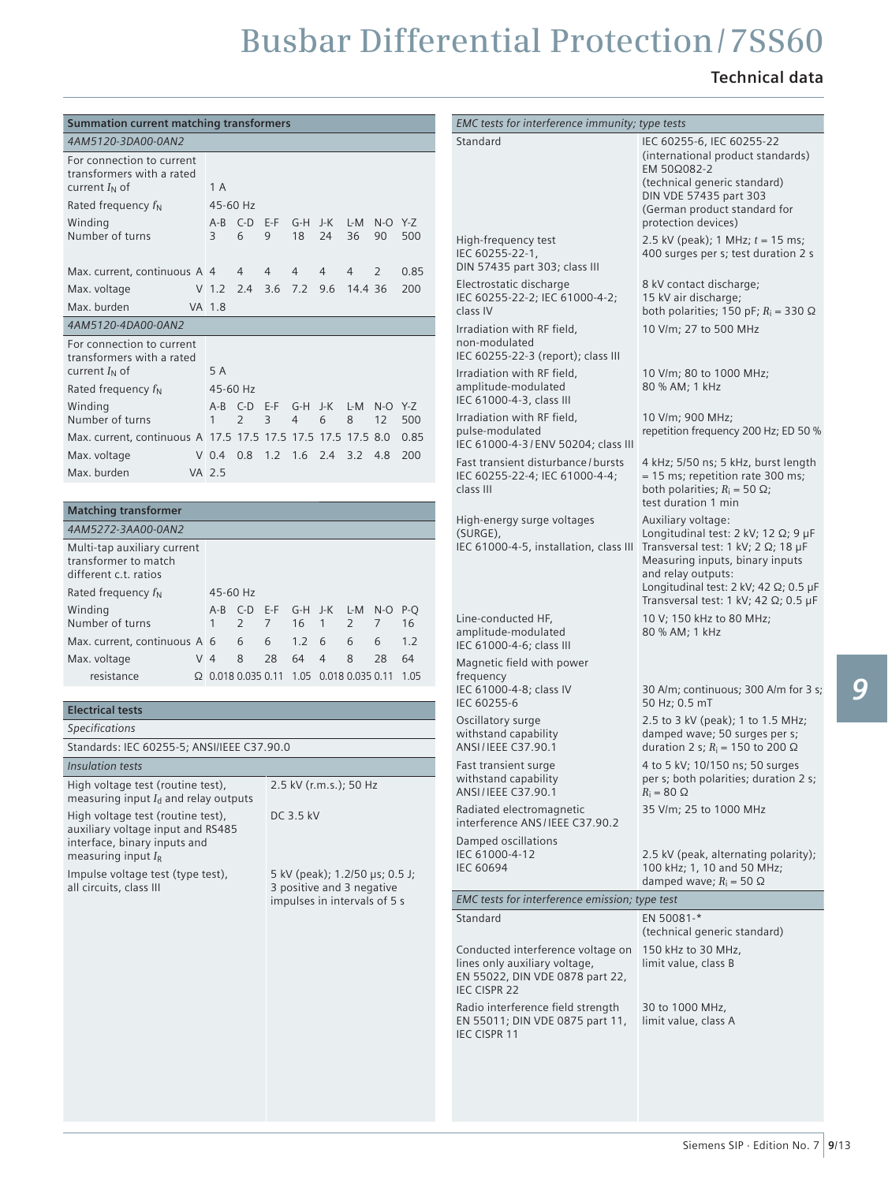### **Technical data**

| <b>Summation current matching transformers</b>                                                                              |                                               |                                                             |                                  |                               |      | EMC tests for interference immunity; type tests                                                                       |                                                                                                                                            |  |
|-----------------------------------------------------------------------------------------------------------------------------|-----------------------------------------------|-------------------------------------------------------------|----------------------------------|-------------------------------|------|-----------------------------------------------------------------------------------------------------------------------|--------------------------------------------------------------------------------------------------------------------------------------------|--|
| 4AM5120-3DA00-0AN2                                                                                                          |                                               |                                                             |                                  |                               |      | Standard                                                                                                              | IEC 60255-6, IEC 60255-22                                                                                                                  |  |
| For connection to current<br>transformers with a rated<br>current $I_N$ of<br>Rated frequency $f_N$                         | 1 A<br>45-60 Hz                               |                                                             |                                  |                               |      |                                                                                                                       | (international product standards)<br>EM 50Ω082-2<br>(technical generic standard)<br>DIN VDE 57435 part 303<br>(German product standard for |  |
| Winding<br>Number of turns                                                                                                  | A-B C-D E-F<br>3<br>6                         | G-H J-K<br>9<br>18                                          | 24<br>36                         | L-M N-O Y-Z<br>90             | 500  |                                                                                                                       | protection devices)                                                                                                                        |  |
|                                                                                                                             |                                               |                                                             |                                  |                               |      | High-frequency test<br>IEC 60255-22-1,<br>DIN 57435 part 303; class III                                               | 2.5 kV (peak); 1 MHz; $t = 15$ ms;<br>400 surges per s; test duration 2 s                                                                  |  |
| Max. current, continuous A 4                                                                                                | 4                                             | $\overline{4}$<br>4                                         | $\overline{4}$<br>$\overline{4}$ | 2                             | 0.85 | Electrostatic discharge                                                                                               | 8 kV contact discharge;                                                                                                                    |  |
| Max. voltage<br>Max. burden                                                                                                 | V 1.2 2.4 3.6 7.2 9.6<br>VA 1.8               |                                                             | 14.4 36                          |                               | 200  | IEC 60255-22-2; IEC 61000-4-2;<br>class IV                                                                            | 15 kV air discharge;<br>both polarities; 150 pF; $R_i = 330 \Omega$                                                                        |  |
| 4AM5120-4DA00-0AN2                                                                                                          |                                               |                                                             |                                  |                               |      | Irradiation with RF field,                                                                                            | 10 V/m; 27 to 500 MHz                                                                                                                      |  |
| For connection to current<br>transformers with a rated<br>current $I_N$ of                                                  | 5 A                                           |                                                             |                                  |                               |      | non-modulated<br>IEC 60255-22-3 (report); class III<br>Irradiation with RF field,                                     | 10 V/m; 80 to 1000 MHz;                                                                                                                    |  |
| Rated frequency $f_N$<br>Winding                                                                                            | 45-60 Hz<br>A-B C-D E-F                       |                                                             | G-H J-K L-M N-O Y-Z              |                               |      | amplitude-modulated<br>IEC 61000-4-3, class III                                                                       | 80 % AM; 1 kHz                                                                                                                             |  |
| Number of turns                                                                                                             | 2<br>$\mathbf{1}$                             | 3<br>$\overline{4}$                                         | 6<br>8                           | 12                            | 500  | Irradiation with RF field,                                                                                            | 10 V/m; 900 MHz;                                                                                                                           |  |
| Max. current, continuous A 17.5 17.5 17.5 17.5 17.5 17.5 8.0                                                                |                                               |                                                             |                                  |                               | 0.85 | pulse-modulated<br>IEC 61000-4-3/ENV 50204; class III                                                                 | repetition frequency 200 Hz; ED 50 %                                                                                                       |  |
| Max. voltage<br>Max. burden                                                                                                 | V 0.4 0.8 1.2 1.6 2.4 3.2 4.8<br>VA 2.5       |                                                             |                                  |                               | 200  | Fast transient disturbance / bursts<br>IEC 60255-22-4; IEC 61000-4-4;<br>class III                                    | 4 kHz; 5/50 ns; 5 kHz, burst length<br>$= 15$ ms; repetition rate 300 ms;<br>both polarities; $R_i = 50 \Omega$ ;<br>test duration 1 min   |  |
| <b>Matching transformer</b>                                                                                                 |                                               |                                                             |                                  |                               |      | High-energy surge voltages                                                                                            | Auxiliary voltage:                                                                                                                         |  |
| 4AM5272-3AA00-0AN2<br>Multi-tap auxiliary current<br>transformer to match<br>different c.t. ratios                          |                                               |                                                             |                                  |                               |      | (SURGE),<br>IEC 61000-4-5, installation, class III                                                                    | Longitudinal test: 2 kV; 12 Q; 9 µF<br>Transversal test: 1 kV; 2 $\Omega$ ; 18 µF<br>Measuring inputs, binary inputs<br>and relay outputs: |  |
| Rated frequency $f_N$                                                                                                       | 45-60 Hz                                      |                                                             |                                  |                               |      |                                                                                                                       | Longitudinal test: $2$ kV; $42$ $\Omega$ ; $0.5$ µF<br>Transversal test: 1 kV; 42 $\Omega$ ; 0.5 µF                                        |  |
| Winding<br>Number of turns                                                                                                  | A-B C-D E-F<br>$\overline{2}$<br>$\mathbf{1}$ | G-H J-K<br>$\overline{7}$<br>16                             | 2<br>$\overline{1}$              | L-M N-O P-Q<br>$\overline{7}$ | 16   | Line-conducted HF,                                                                                                    | 10 V; 150 kHz to 80 MHz;                                                                                                                   |  |
| Max. current, continuous A 6                                                                                                | 6                                             | 6<br>1.2                                                    | 6<br>6                           | 6                             | 1.2  | amplitude-modulated<br>IEC 61000-4-6; class III                                                                       | 80 % AM; 1 kHz                                                                                                                             |  |
| Max. voltage                                                                                                                | V <sub>4</sub><br>8                           | 28<br>64                                                    | $\overline{4}$<br>8              | 28                            | 64   | Magnetic field with power                                                                                             |                                                                                                                                            |  |
| resistance                                                                                                                  | Ω 0.018 0.035 0.11 1.05 0.018 0.035 0.11 1.05 |                                                             |                                  |                               |      | frequency<br>IEC 61000-4-8; class IV<br>IEC 60255-6                                                                   | 30 A/m; continuous; 300 A/m for 3 s;<br>50 Hz; 0.5 mT                                                                                      |  |
| <b>Electrical tests</b>                                                                                                     |                                               |                                                             |                                  |                               |      | Oscillatory surge                                                                                                     | 2.5 to 3 kV (peak); 1 to 1.5 MHz;                                                                                                          |  |
| <b>Specifications</b><br>Standards: IEC 60255-5; ANSI/IEEE C37.90.0                                                         |                                               |                                                             |                                  |                               |      | withstand capability<br>ANSI/IEEE C37.90.1                                                                            | damped wave; 50 surges per s;<br>duration 2 s; $R_i = 150$ to 200 $\Omega$                                                                 |  |
| Insulation tests                                                                                                            |                                               |                                                             |                                  |                               |      | Fast transient surge                                                                                                  | 4 to 5 kV; 10/150 ns; 50 surges                                                                                                            |  |
| High voltage test (routine test),<br>measuring input $I_d$ and relay outputs                                                |                                               | 2.5 kV (r.m.s.); 50 Hz                                      |                                  |                               |      | withstand capability<br>ANSI/IEEE C37.90.1                                                                            | per s; both polarities; duration 2 s;<br>$R_i = 80 \Omega$                                                                                 |  |
| High voltage test (routine test),<br>auxiliary voltage input and RS485                                                      |                                               | DC 3.5 kV                                                   |                                  |                               |      | Radiated electromagnetic<br>interference ANS/IEEE C37.90.2                                                            | 35 V/m; 25 to 1000 MHz                                                                                                                     |  |
| interface, binary inputs and<br>measuring input $I_{\rm R}$<br>Impulse voltage test (type test),<br>all circuits, class III |                                               | 5 kV (peak); 1.2/50 µs; 0.5 J;<br>3 positive and 3 negative |                                  |                               |      | Damped oscillations<br>IEC 61000-4-12<br><b>IEC 60694</b>                                                             | 2.5 kV (peak, alternating polarity);<br>100 kHz; 1, 10 and 50 MHz;<br>damped wave; $R_i = 50 \Omega$                                       |  |
|                                                                                                                             |                                               | impulses in intervals of 5 s                                |                                  |                               |      | EMC tests for interference emission; type test                                                                        |                                                                                                                                            |  |
|                                                                                                                             |                                               |                                                             |                                  |                               |      | Standard                                                                                                              | EN 50081-*<br>(technical generic standard)                                                                                                 |  |
|                                                                                                                             |                                               |                                                             |                                  |                               |      | Conducted interference voltage on<br>lines only auxiliary voltage,<br>EN 55022, DIN VDE 0878 part 22,<br>IEC CISPR 22 | 150 kHz to 30 MHz,<br>limit value, class B                                                                                                 |  |
|                                                                                                                             |                                               |                                                             |                                  |                               |      | Radio interference field strength<br>EN 55011; DIN VDE 0875 part 11,<br>IEC CISPR 11                                  | 30 to 1000 MHz,<br>limit value, class A                                                                                                    |  |
|                                                                                                                             |                                               |                                                             |                                  |                               |      |                                                                                                                       |                                                                                                                                            |  |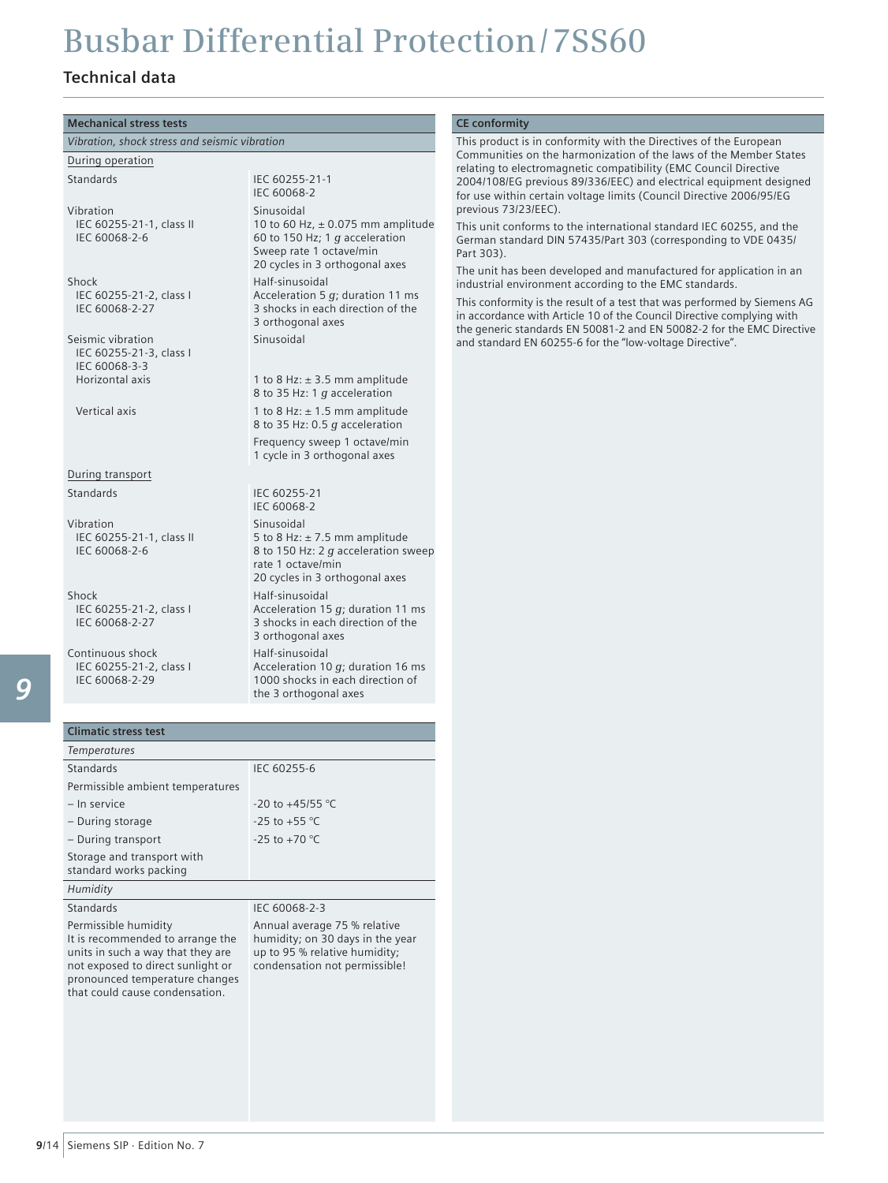### **Technical data**

| <b>Mechanical stress tests</b>                                                                                                                                                                         |                                                                                                                                                      | <b>CE conformity</b>                                                                                                                                                                                                                                                                 |
|--------------------------------------------------------------------------------------------------------------------------------------------------------------------------------------------------------|------------------------------------------------------------------------------------------------------------------------------------------------------|--------------------------------------------------------------------------------------------------------------------------------------------------------------------------------------------------------------------------------------------------------------------------------------|
| Vibration, shock stress and seismic vibration                                                                                                                                                          |                                                                                                                                                      | This product is in conformity with the Directives of the European                                                                                                                                                                                                                    |
| During operation                                                                                                                                                                                       |                                                                                                                                                      | Communities on the harmonization of the laws of the Member States                                                                                                                                                                                                                    |
| Standards                                                                                                                                                                                              | IEC 60255-21-1<br>IEC 60068-2                                                                                                                        | relating to electromagnetic compatibility (EMC Council Directive<br>2004/108/EG previous 89/336/EEC) and electrical equipment designed<br>for use within certain voltage limits (Council Directive 2006/95/EG                                                                        |
| Vibration<br>IEC 60255-21-1, class II<br>IEC 60068-2-6                                                                                                                                                 | Sinusoidal<br>10 to 60 Hz, $\pm$ 0.075 mm amplitude<br>60 to 150 Hz; 1 $q$ acceleration<br>Sweep rate 1 octave/min<br>20 cycles in 3 orthogonal axes | previous 73/23/EEC).<br>This unit conforms to the international standard IEC 60255, and the<br>German standard DIN 57435/Part 303 (corresponding to VDE 0435/<br>Part 303).<br>The unit has been developed and manufactured for application in an                                    |
| Shock<br>IEC 60255-21-2, class I<br>IEC 60068-2-27                                                                                                                                                     | Half-sinusoidal<br>Acceleration 5 $q$ ; duration 11 ms<br>3 shocks in each direction of the<br>3 orthogonal axes                                     | industrial environment according to the EMC standards.<br>This conformity is the result of a test that was performed by Siemens AG<br>in accordance with Article 10 of the Council Directive complying with<br>the generic standards EN 50081-2 and EN 50082-2 for the EMC Directive |
| Seismic vibration<br>IEC 60255-21-3, class I<br>IEC 60068-3-3<br>Horizontal axis                                                                                                                       | Sinusoidal<br>1 to 8 Hz: $\pm$ 3.5 mm amplitude<br>8 to 35 Hz: 1 g acceleration                                                                      | and standard EN 60255-6 for the "low-voltage Directive".                                                                                                                                                                                                                             |
| Vertical axis                                                                                                                                                                                          | 1 to 8 Hz: $\pm$ 1.5 mm amplitude<br>8 to 35 Hz: 0.5 g acceleration                                                                                  |                                                                                                                                                                                                                                                                                      |
|                                                                                                                                                                                                        | Frequency sweep 1 octave/min<br>1 cycle in 3 orthogonal axes                                                                                         |                                                                                                                                                                                                                                                                                      |
| During transport                                                                                                                                                                                       |                                                                                                                                                      |                                                                                                                                                                                                                                                                                      |
| Standards                                                                                                                                                                                              | IEC 60255-21<br>IEC 60068-2                                                                                                                          |                                                                                                                                                                                                                                                                                      |
| Vibration<br>IEC 60255-21-1, class II<br>IEC 60068-2-6                                                                                                                                                 | Sinusoidal<br>5 to 8 Hz: $\pm$ 7.5 mm amplitude<br>8 to 150 Hz: 2 g acceleration sweep<br>rate 1 octave/min<br>20 cycles in 3 orthogonal axes        |                                                                                                                                                                                                                                                                                      |
| Shock<br>IEC 60255-21-2, class I<br>IEC 60068-2-27                                                                                                                                                     | Half-sinusoidal<br>Acceleration 15 $q$ ; duration 11 ms<br>3 shocks in each direction of the<br>3 orthogonal axes                                    |                                                                                                                                                                                                                                                                                      |
| Continuous shock<br>IEC 60255-21-2, class I<br>IEC 60068-2-29                                                                                                                                          | Half-sinusoidal<br>Acceleration 10 $g$ ; duration 16 ms<br>1000 shocks in each direction of<br>the 3 orthogonal axes                                 |                                                                                                                                                                                                                                                                                      |
| <b>Climatic stress test</b>                                                                                                                                                                            |                                                                                                                                                      |                                                                                                                                                                                                                                                                                      |
| Temperatures                                                                                                                                                                                           |                                                                                                                                                      |                                                                                                                                                                                                                                                                                      |
| Standards                                                                                                                                                                                              | IEC 60255-6                                                                                                                                          |                                                                                                                                                                                                                                                                                      |
| Permissible ambient temperatures                                                                                                                                                                       |                                                                                                                                                      |                                                                                                                                                                                                                                                                                      |
| - In service                                                                                                                                                                                           | -20 to +45/55 °C                                                                                                                                     |                                                                                                                                                                                                                                                                                      |
| - During storage                                                                                                                                                                                       | $-25$ to $+55$ °C                                                                                                                                    |                                                                                                                                                                                                                                                                                      |
| - During transport                                                                                                                                                                                     | $-25$ to $+70$ °C                                                                                                                                    |                                                                                                                                                                                                                                                                                      |
| Storage and transport with<br>standard works packing                                                                                                                                                   |                                                                                                                                                      |                                                                                                                                                                                                                                                                                      |
| Humidity                                                                                                                                                                                               |                                                                                                                                                      |                                                                                                                                                                                                                                                                                      |
| Standards                                                                                                                                                                                              | IEC 60068-2-3                                                                                                                                        |                                                                                                                                                                                                                                                                                      |
| Permissible humidity<br>It is recommended to arrange the<br>units in such a way that they are<br>not exposed to direct sunlight or<br>pronounced temperature changes<br>that could cause condensation. | Annual average 75 % relative<br>humidity; on 30 days in the year<br>up to 95 % relative humidity;<br>condensation not permissible!                   |                                                                                                                                                                                                                                                                                      |
|                                                                                                                                                                                                        |                                                                                                                                                      |                                                                                                                                                                                                                                                                                      |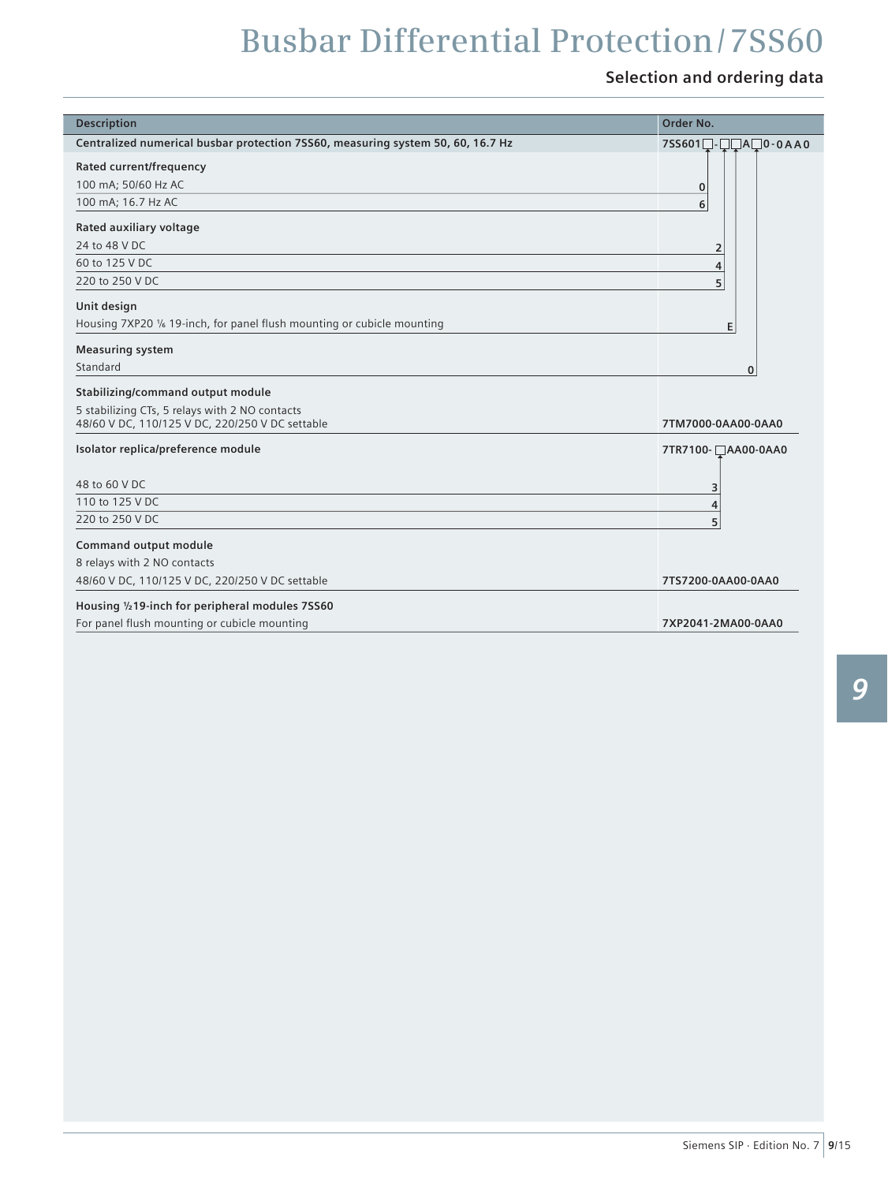## **Selection and ordering data**

| <b>Description</b>                                                                                                                     | Order No.          |
|----------------------------------------------------------------------------------------------------------------------------------------|--------------------|
| Centralized numerical busbar protection 7SS60, measuring system 50, 60, 16.7 Hz                                                        |                    |
| Rated current/frequency<br>100 mA; 50/60 Hz AC<br>100 mA; 16.7 Hz AC                                                                   | 0<br>6             |
| Rated auxiliary voltage<br>24 to 48 V DC<br>60 to 125 V DC<br>220 to 250 V DC                                                          | 2<br>4<br>5        |
| Unit design<br>Housing 7XP20 1/6 19-inch, for panel flush mounting or cubicle mounting                                                 | E.                 |
| <b>Measuring system</b><br>Standard                                                                                                    | $\mathbf{0}$       |
| Stabilizing/command output module<br>5 stabilizing CTs, 5 relays with 2 NO contacts<br>48/60 V DC, 110/125 V DC, 220/250 V DC settable | 7TM7000-0AA00-0AA0 |
| Isolator replica/preference module                                                                                                     | 7TR7100- AA00-0AA0 |
| 48 to 60 V DC                                                                                                                          | З                  |
| 110 to 125 V DC<br>220 to 250 V DC                                                                                                     | 4                  |
| <b>Command output module</b><br>8 relays with 2 NO contacts                                                                            |                    |
| 48/60 V DC, 110/125 V DC, 220/250 V DC settable                                                                                        | 7TS7200-0AA00-0AA0 |
| Housing 1/219-inch for peripheral modules 7SS60<br>For panel flush mounting or cubicle mounting                                        | 7XP2041-2MA00-0AA0 |

l.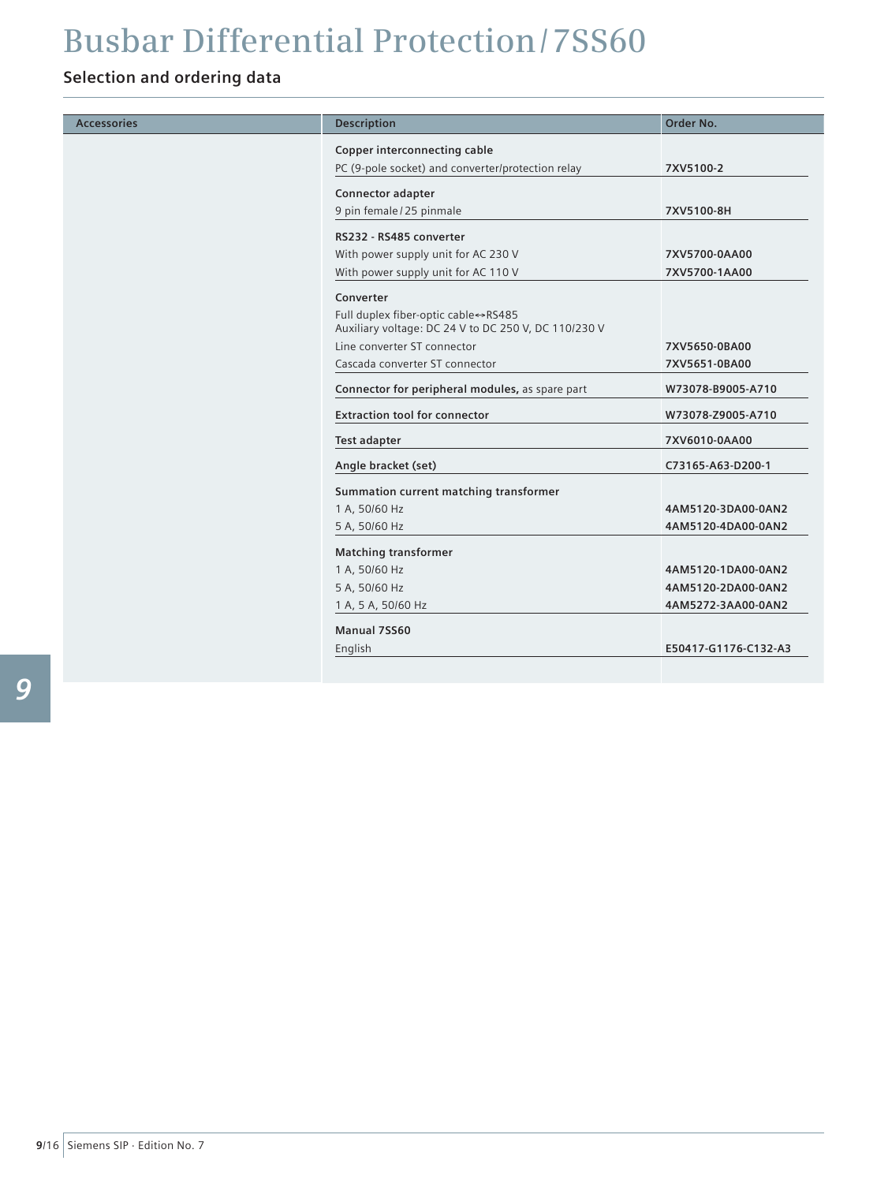## **Selection and ordering data**

| <b>Accessories</b> | <b>Description</b>                                                                          | Order No.            |
|--------------------|---------------------------------------------------------------------------------------------|----------------------|
|                    | Copper interconnecting cable                                                                |                      |
|                    | PC (9-pole socket) and converter/protection relay                                           | 7XV5100-2            |
|                    | Connector adapter                                                                           |                      |
|                    | 9 pin female / 25 pinmale                                                                   | 7XV5100-8H           |
|                    | RS232 - RS485 converter                                                                     |                      |
|                    | With power supply unit for AC 230 V                                                         | 7XV5700-0AA00        |
|                    | With power supply unit for AC 110 V                                                         | 7XV5700-1AA00        |
|                    | Converter                                                                                   |                      |
|                    | Full duplex fiber-optic cable⇔RS485<br>Auxiliary voltage: DC 24 V to DC 250 V, DC 110/230 V |                      |
|                    | Line converter ST connector                                                                 | 7XV5650-0BA00        |
|                    | Cascada converter ST connector                                                              | 7XV5651-0BA00        |
|                    | Connector for peripheral modules, as spare part                                             | W73078-B9005-A710    |
|                    | <b>Extraction tool for connector</b>                                                        | W73078-Z9005-A710    |
|                    | <b>Test adapter</b>                                                                         | 7XV6010-0AA00        |
|                    | Angle bracket (set)                                                                         | C73165-A63-D200-1    |
|                    | Summation current matching transformer                                                      |                      |
|                    | 1 A, 50/60 Hz                                                                               | 4AM5120-3DA00-0AN2   |
|                    | 5 A, 50/60 Hz                                                                               | 4AM5120-4DA00-0AN2   |
|                    | <b>Matching transformer</b>                                                                 |                      |
|                    | 1 A, 50/60 Hz                                                                               | 4AM5120-1DA00-0AN2   |
|                    | 5 A, 50/60 Hz                                                                               | 4AM5120-2DA00-0AN2   |
|                    | 1 A, 5 A, 50/60 Hz                                                                          | 4AM5272-3AA00-0AN2   |
|                    | Manual 7SS60                                                                                |                      |
|                    | English                                                                                     | E50417-G1176-C132-A3 |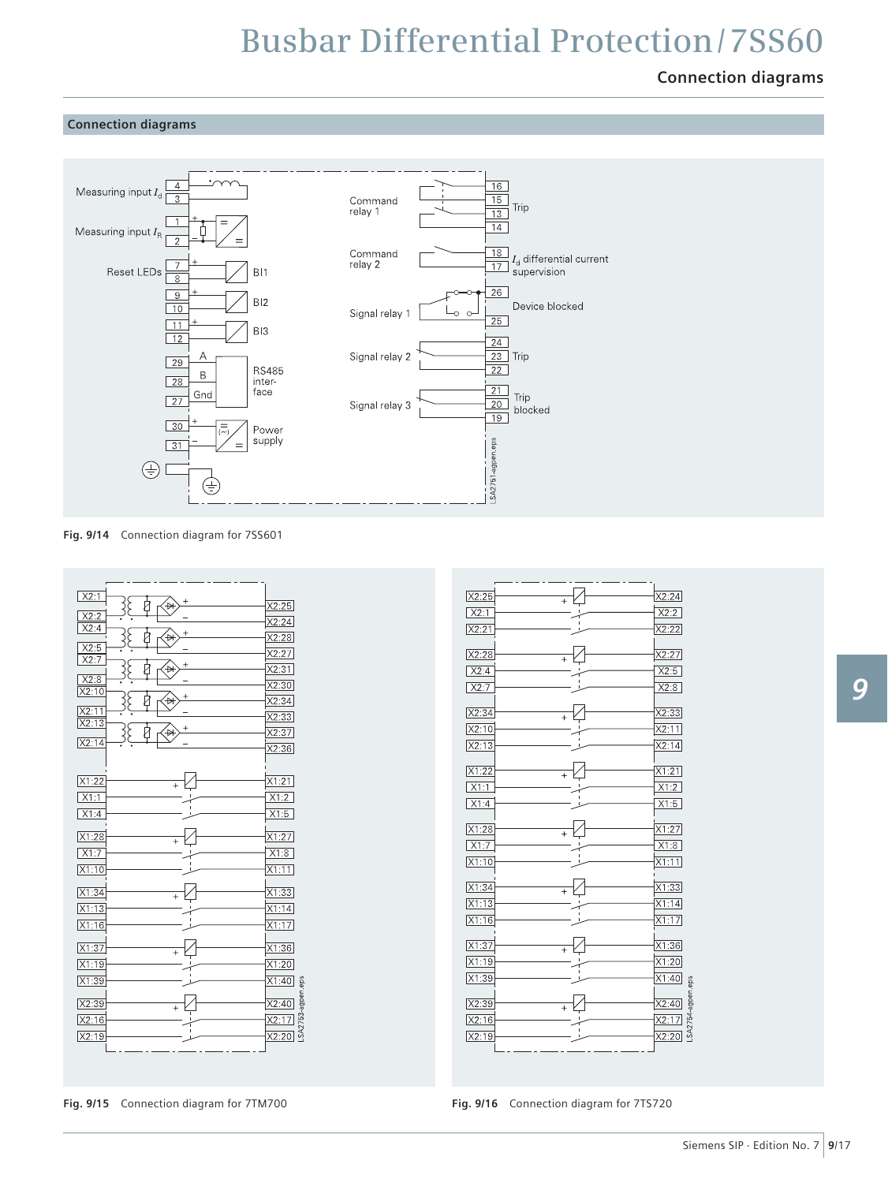### **Connection diagrams**

#### **Connection diagrams**



**Fig. 9/14** Connection diagram for 7SS601

| X2:1                    |       |
|-------------------------|-------|
| ∛<br>₽                  | X2:25 |
| X2:2<br>X2:4            | X2:24 |
| $\ddot{}$<br>₩          | X2:28 |
| X2:5<br>X2:7            | X2:27 |
| $\,{}^+$<br>₩           | X2:31 |
| X2:8<br>X2:10           | X2:30 |
| $^{+}$<br>₩             | X2:34 |
| X2:11<br>X2:13          | X2:33 |
| €                       | X2:37 |
| X2:14                   | X2:36 |
|                         |       |
| X1:22<br>$\ddot{}$      | X1:21 |
| X1:1                    | X1:2  |
| X1:4                    | X1:5  |
|                         |       |
| X1:28<br>$\ddot{}$      | X1:27 |
| X1:7                    | X1:8  |
| X1:10                   | X1:11 |
| X1:34<br>$\overline{+}$ | X1:33 |
| X1:13                   | X1:14 |
| X1:16                   | X1:17 |
|                         |       |
| X1:37<br>$\ddot{}$      | X1:36 |
| X1:19                   | X1:20 |
| X1:39                   | X1:40 |
| X2:39                   | X2:40 |
| $\ddot{}$<br>X2:16      | X2:17 |
| X2:19                   | X2:20 |
|                         |       |
|                         |       |

![](_page_14_Figure_6.jpeg)

**Fig. 9/15** Connection diagram for 7TM700 **Fig. 9/16** Connection diagram for 7TS720